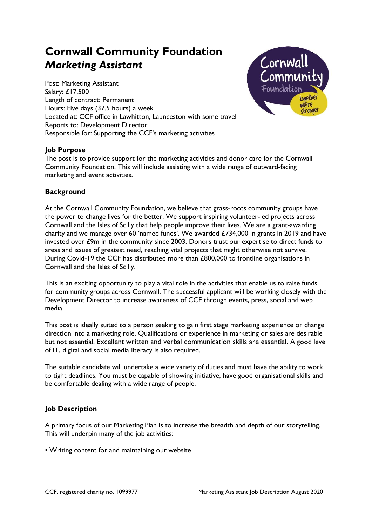# Cornwall Community Foundation Marketing Assistant

Post: Marketing Assistant Salary: £17,500 Length of contract: Permanent Hours: Five days (37.5 hours) a week Located at: CCF office in Lawhitton, Launceston with some travel Reports to: Development Director Responsible for: Supporting the CCF's marketing activities



## Job Purpose

The post is to provide support for the marketing activities and donor care for the Cornwall Community Foundation. This will include assisting with a wide range of outward-facing marketing and event activities.

### **Background**

At the Cornwall Community Foundation, we believe that grass-roots community groups have the power to change lives for the better. We support inspiring volunteer-led projects across Cornwall and the Isles of Scilly that help people improve their lives. We are a grant-awarding charity and we manage over 60 'named funds'. We awarded  $£734,000$  in grants in 2019 and have invested over £9m in the community since 2003. Donors trust our expertise to direct funds to areas and issues of greatest need, reaching vital projects that might otherwise not survive. During Covid-19 the CCF has distributed more than £800,000 to frontline organisations in Cornwall and the Isles of Scilly.

This is an exciting opportunity to play a vital role in the activities that enable us to raise funds for community groups across Cornwall. The successful applicant will be working closely with the Development Director to increase awareness of CCF through events, press, social and web media.

This post is ideally suited to a person seeking to gain first stage marketing experience or change direction into a marketing role. Qualifications or experience in marketing or sales are desirable but not essential. Excellent written and verbal communication skills are essential. A good level of IT, digital and social media literacy is also required.

The suitable candidate will undertake a wide variety of duties and must have the ability to work to tight deadlines. You must be capable of showing initiative, have good organisational skills and be comfortable dealing with a wide range of people.

#### **Job Description**

A primary focus of our Marketing Plan is to increase the breadth and depth of our storytelling. This will underpin many of the job activities:

• Writing content for and maintaining our website